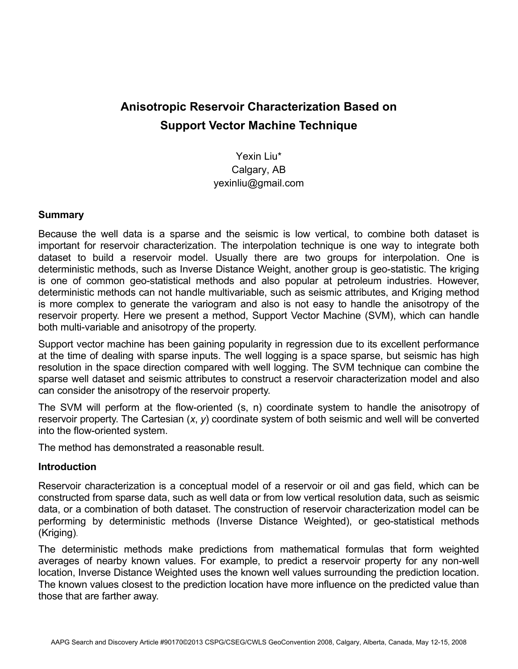# **Anisotropic Reservoir Characterization Based on Support Vector Machine Technique**

Yexin Liu\* Calgary, AB yexinliu@gmail.com

#### **Summary**

Because the well data is a sparse and the seismic is low vertical, to combine both dataset is important for reservoir characterization. The interpolation technique is one way to integrate both dataset to build a reservoir model. Usually there are two groups for interpolation. One is deterministic methods, such as Inverse Distance Weight, another group is geo-statistic. The kriging is one of common geo-statistical methods and also popular at petroleum industries. However, deterministic methods can not handle multivariable, such as seismic attributes, and Kriging method is more complex to generate the variogram and also is not easy to handle the anisotropy of the reservoir property. Here we present a method, Support Vector Machine (SVM), which can handle both multi-variable and anisotropy of the property.

Support vector machine has been gaining popularity in regression due to its excellent performance at the time of dealing with sparse inputs. The well logging is a space sparse, but seismic has high resolution in the space direction compared with well logging. The SVM technique can combine the sparse well dataset and seismic attributes to construct a reservoir characterization model and also can consider the anisotropy of the reservoir property.

The SVM will perform at the flow-oriented (s, n) coordinate system to handle the anisotropy of reservoir property. The Cartesian (*x*, *y*) coordinate system of both seismic and well will be converted into the flow-oriented system.

The method has demonstrated a reasonable result.

#### **Introduction**

Reservoir characterization is a conceptual model of a reservoir or oil and gas field, which can be constructed from sparse data, such as well data or from low vertical resolution data, such as seismic data, or a combination of both dataset. The construction of reservoir characterization model can be performing by deterministic methods (Inverse Distance Weighted), or geo-statistical methods (Kriging).

The deterministic methods make predictions from mathematical formulas that form weighted averages of nearby known values. For example, to predict a reservoir property for any non-well location, Inverse Distance Weighted uses the known well values surrounding the prediction location. The known values closest to the prediction location have more influence on the predicted value than those that are farther away.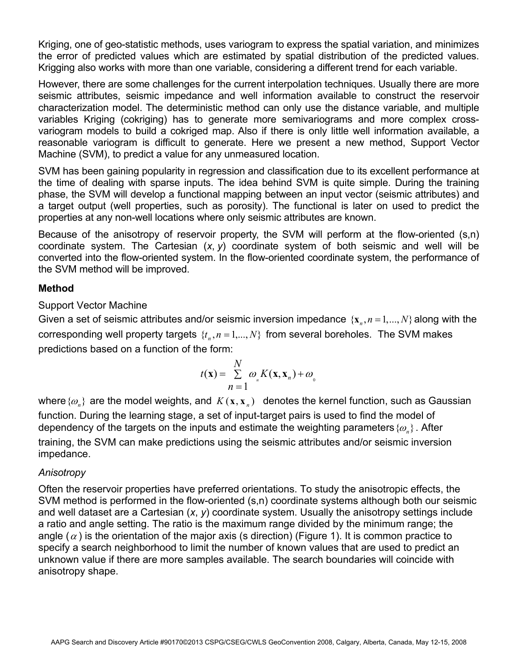Kriging, one of geo-statistic methods, uses variogram to express the spatial variation, and minimizes the error of predicted values which are estimated by spatial distribution of the predicted values. Krigging also works with more than one variable, considering a different trend for each variable.

However, there are some challenges for the current interpolation techniques. Usually there are more seismic attributes, seismic impedance and well information available to construct the reservoir characterization model. The deterministic method can only use the distance variable, and multiple variables Kriging (cokriging) has to generate more semivariograms and more complex crossvariogram models to build a cokriged map. Also if there is only little well information available, a reasonable variogram is difficult to generate. Here we present a new method, Support Vector Machine (SVM), to predict a value for any unmeasured location.

SVM has been gaining popularity in regression and classification due to its excellent performance at the time of dealing with sparse inputs. The idea behind SVM is quite simple. During the training phase, the SVM will develop a functional mapping between an input vector (seismic attributes) and a target output (well properties, such as porosity). The functional is later on used to predict the properties at any non-well locations where only seismic attributes are known.

Because of the anisotropy of reservoir property, the SVM will perform at the flow-oriented (s,n) coordinate system. The Cartesian (*x*, *y*) coordinate system of both seismic and well will be converted into the flow-oriented system. In the flow-oriented coordinate system, the performance of the SVM method will be improved.

# **Method**

### Support Vector Machine

Given a set of seismic attributes and/or seismic inversion impedance  $\{x_n, n=1,\dots,N\}$  along with the corresponding well property targets  $\{t_n, n = 1, ..., N\}$  from several boreholes. The SVM makes predictions based on a function of the form:

$$
t(\mathbf{x}) = \sum_{n=1}^{N} \omega_{n} K(\mathbf{x}, \mathbf{x}_{n}) + \omega_{0}
$$

where  $\{\omega_n\}$  are the model weights, and  $K(\mathbf{x}, \mathbf{x}_n)$  denotes the kernel function, such as Gaussian function. During the learning stage, a set of input-target pairs is used to find the model of dependency of the targets on the inputs and estimate the weighting parameters  $\{\omega_n\}$ . After training, the SVM can make predictions using the seismic attributes and/or seismic inversion impedance.

# *Anisotropy*

Often the reservoir properties have preferred orientations. To study the anisotropic effects, the SVM method is performed in the flow-oriented (s,n) coordinate systems although both our seismic and well dataset are a Cartesian (*x*, *y*) coordinate system. Usually the anisotropy settings include a ratio and angle setting. The ratio is the maximum range divided by the minimum range; the angle ( $\alpha$ ) is the orientation of the major axis (s direction) (Figure 1). It is common practice to specify a search neighborhood to limit the number of known values that are used to predict an unknown value if there are more samples available. The search boundaries will coincide with anisotropy shape.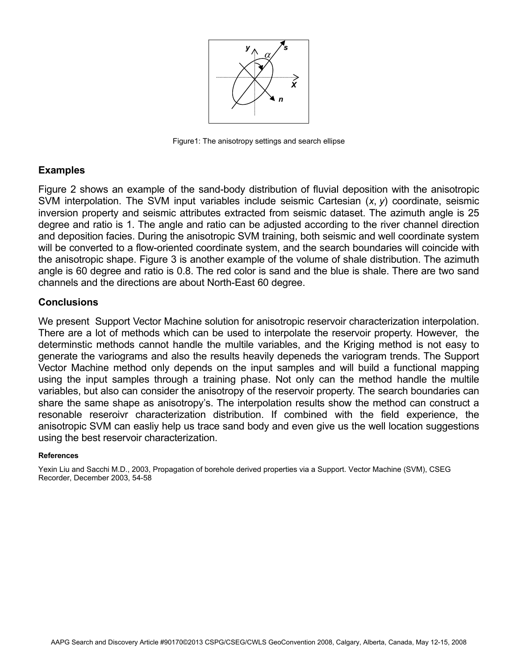

Figure1: The anisotropy settings and search ellipse

#### **Examples**

Figure 2 shows an example of the sand-body distribution of fluvial deposition with the anisotropic SVM interpolation. The SVM input variables include seismic Cartesian (*x*, *y*) coordinate, seismic inversion property and seismic attributes extracted from seismic dataset. The azimuth angle is 25 degree and ratio is 1. The angle and ratio can be adjusted according to the river channel direction and deposition facies. During the anisotropic SVM training, both seismic and well coordinate system will be converted to a flow-oriented coordinate system, and the search boundaries will coincide with the anisotropic shape. Figure 3 is another example of the volume of shale distribution. The azimuth angle is 60 degree and ratio is 0.8. The red color is sand and the blue is shale. There are two sand channels and the directions are about North-East 60 degree.

### **Conclusions**

We present Support Vector Machine solution for anisotropic reservoir characterization interpolation. There are a lot of methods which can be used to interpolate the reservoir property. However, the determinstic methods cannot handle the multile variables, and the Kriging method is not easy to generate the variograms and also the results heavily depeneds the variogram trends. The Support Vector Machine method only depends on the input samples and will build a functional mapping using the input samples through a training phase. Not only can the method handle the multile variables, but also can consider the anisotropy of the reservoir property. The search boundaries can share the same shape as anisotropy's. The interpolation results show the method can construct a resonable reseroivr characterization distribution. If combined with the field experience, the anisotropic SVM can easliy help us trace sand body and even give us the well location suggestions using the best reservoir characterization.

#### **References**

Yexin Liu and Sacchi M.D., 2003, Propagation of borehole derived properties via a Support. Vector Machine (SVM), CSEG Recorder, December 2003, 54-58